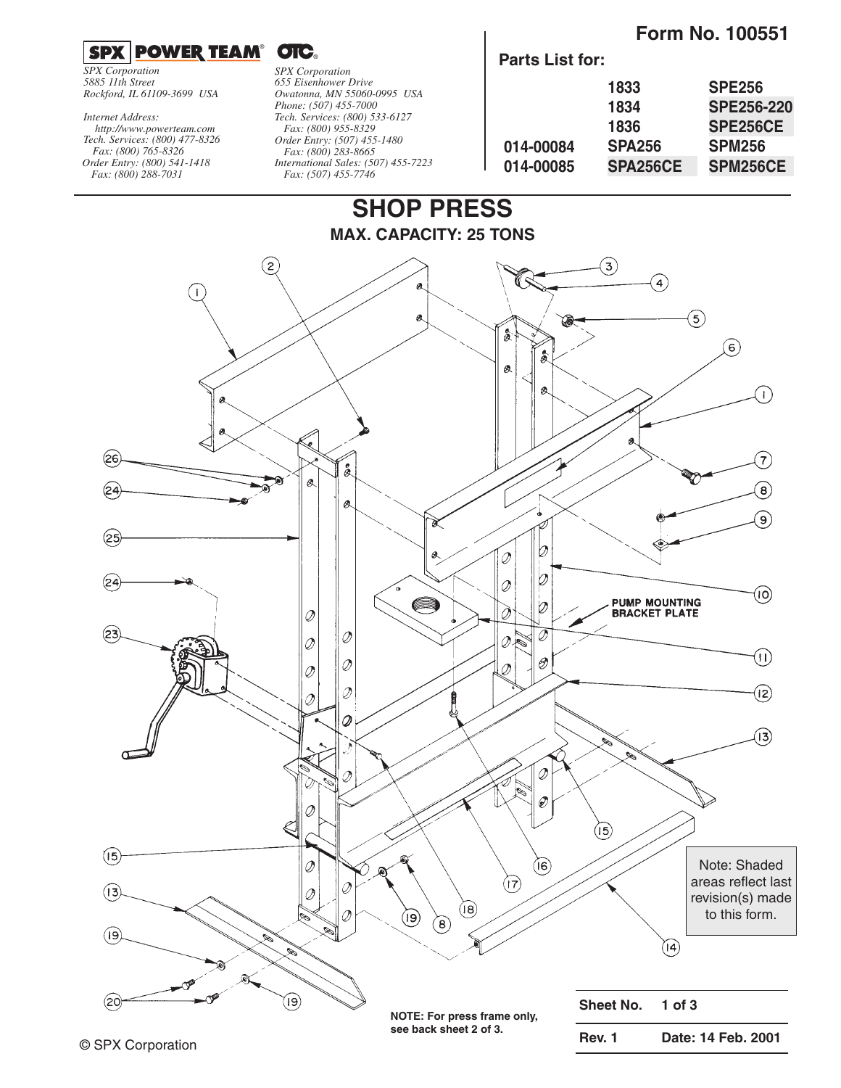**Form No. 100551**

### $^{\circ}$  OIC.

*SPX Corporation 5885 11th Street Rockford, IL 61109-3699 USA*

*Tech. Services: (800) 477-8326 Fax: (800) 765-8326 Order Entry: (800) 541-1418 Fax: (800) 288-7031 http://www.powerteam.com Internet Address:*

*SPX Corporation 655 Eisenhower Drive Owatonna, MN 55060-0995 USA Phone: (507) 455-7000 Tech. Services: (800) 533-6127 Fax: (800) 955-8329 Order Entry: (507) 455-1480 Fax: (800) 283-8665 International Sales: (507) 455-7223 Fax: (507) 455-7746*

 $\overline{\phantom{a}}$ 

| <b>Parts List for:</b> |               |                   |
|------------------------|---------------|-------------------|
|                        | 1833          | <b>SPE256</b>     |
|                        | 1834          | <b>SPE256-220</b> |
|                        | 1836          | <b>SPE256CE</b>   |
| 014-00084              | <b>SPA256</b> | <b>SPM256</b>     |
| 014-00085              | SPA256CE      | SPM256CE          |

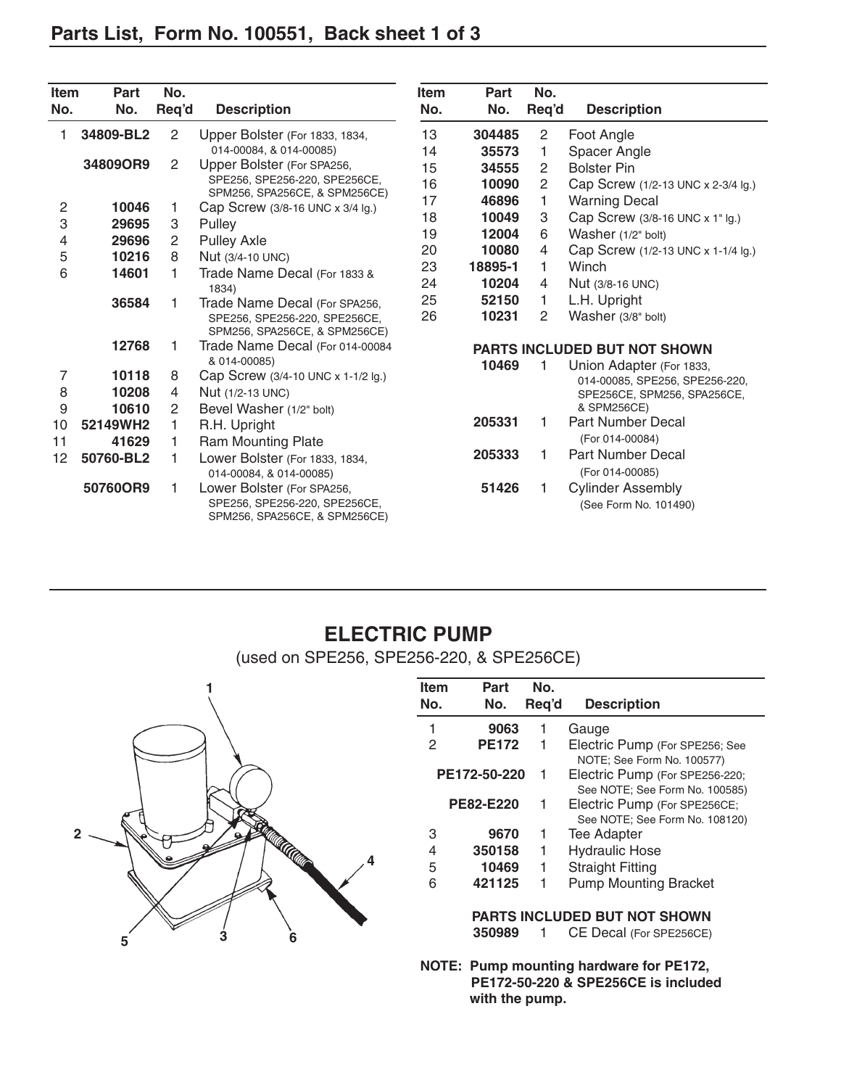| <b>Item</b>    | <b>Part</b> | No.            |                                                                                              | <b>Item</b> | Part    | No.   |                                                   |
|----------------|-------------|----------------|----------------------------------------------------------------------------------------------|-------------|---------|-------|---------------------------------------------------|
| No.            | No.         | Req'd          | <b>Description</b>                                                                           | No.         | No.     | Req'd | <b>Description</b>                                |
|                | 34809-BL2   | $\overline{2}$ | Upper Bolster (For 1833, 1834,                                                               | 13          | 304485  | 2     | Foot Angle                                        |
|                |             |                | 014-00084, & 014-00085)                                                                      | 14          | 35573   | 1     | Spacer Angle                                      |
|                | 34809OR9    | $\overline{2}$ | Upper Bolster (For SPA256,                                                                   | 15          | 34555   | 2     | <b>Bolster Pin</b>                                |
|                |             |                | SPE256, SPE256-220, SPE256CE,                                                                | 16          | 10090   | 2     | Cap Screw (1/2-13 UNC x 2-3/4 lg.)                |
| $\overline{2}$ | 10046       | 1              | SPM256, SPA256CE, & SPM256CE)                                                                | 17          | 46896   | 1.    | <b>Warning Decal</b>                              |
| 3              | 29695       | 3              | Cap Screw (3/8-16 UNC x 3/4 lg.)<br>Pulley                                                   | 18          | 10049   | 3     | Cap Screw (3/8-16 UNC x 1" lg.)                   |
| 4              | 29696       | 2              | <b>Pulley Axle</b>                                                                           | 19          | 12004   | 6     | Washer (1/2" bolt)                                |
| 5              | 10216       | 8              | Nut (3/4-10 UNC)                                                                             | 20          | 10080   | 4     | Cap Screw (1/2-13 UNC x 1-1/4 lg.)                |
| 6              | 14601       |                | Trade Name Decal (For 1833 &                                                                 | 23          | 18895-1 | 1.    | Winch                                             |
|                |             |                | 1834)                                                                                        | 24          | 10204   | 4     | Nut (3/8-16 UNC)                                  |
|                | 36584       |                | Trade Name Decal (For SPA256,                                                                | 25          | 52150   | 1.    | L.H. Upright                                      |
|                |             |                | SPE256, SPE256-220, SPE256CE,<br>SPM256, SPA256CE, & SPM256CE)                               | 26          | 10231   | 2     | Washer (3/8" bolt)                                |
|                | 12768       |                | Trade Name Decal (For 014-00084<br><b>PARTS INCLUDED BUT NOT SHOWN</b>                       |             |         |       |                                                   |
|                |             |                | & 014-00085)                                                                                 |             | 10469   |       | Union Adapter (For 1833,                          |
| 7              | 10118       | 8              | Cap Screw (3/4-10 UNC x 1-1/2 lg.)                                                           |             |         |       | 014-00085, SPE256, SPE256-220,                    |
| 8              | 10208       | 4              | Nut (1/2-13 UNC)                                                                             |             |         |       | SPE256CE, SPM256, SPA256CE,                       |
| 9              | 10610       | 2              | Bevel Washer (1/2" bolt)                                                                     |             |         |       | & SPM256CE)                                       |
| 10             | 52149WH2    | 1              | R.H. Upright                                                                                 |             | 205331  | 1     | Part Number Decal                                 |
| 11             | 41629       | 1              | Ram Mounting Plate                                                                           |             |         |       | (For 014-00084)                                   |
| 12             | 50760-BL2   | 1              | Lower Bolster (For 1833, 1834,<br>014-00084, & 014-00085)                                    |             | 205333  | 1     | <b>Part Number Decal</b><br>(For 014-00085)       |
|                | 50760OR9    | 1              | Lower Bolster (For SPA256,<br>SPE256, SPE256-220, SPE256CE,<br>SPM256, SPA256CE, & SPM256CE) |             | 51426   | 1     | <b>Cylinder Assembly</b><br>(See Form No. 101490) |

## **ELECTRIC PUMP**

(used on SPE256, SPE256-220, & SPE256CE)



| Item | Part         | No.   |                                                                                                                                                                                                                                                            |
|------|--------------|-------|------------------------------------------------------------------------------------------------------------------------------------------------------------------------------------------------------------------------------------------------------------|
| No.  | No.          | Req'd | <b>Description</b>                                                                                                                                                                                                                                         |
| 1    | 9063         | 1     | Gauge                                                                                                                                                                                                                                                      |
| 2    | <b>PE172</b> | 1     | Electric Pump (For SPE256; See<br>NOTE; See Form No. 100577)                                                                                                                                                                                               |
|      | PE172-50-220 | 1     | Electric Pump (For SPE256-220;<br>See NOTE; See Form No. 100585)                                                                                                                                                                                           |
|      | PE82-E220    | 1     | Electric Pump (For SPE256CE;<br>See NOTE; See Form No. 108120)                                                                                                                                                                                             |
| 3    | 9670         | 1     | Tee Adapter                                                                                                                                                                                                                                                |
| 4    | 350158       | 1     | <b>Hydraulic Hose</b>                                                                                                                                                                                                                                      |
| 5    | 10469        | 1     | <b>Straight Fitting</b>                                                                                                                                                                                                                                    |
| 6    | 421125       | 1     | <b>Pump Mounting Bracket</b>                                                                                                                                                                                                                               |
|      |              |       | PARTS INCLUDED BUT NOT SHOWN                                                                                                                                                                                                                               |
|      | 350989       |       | CE Decal (For SPE256CE)                                                                                                                                                                                                                                    |
|      |              |       | $D_{11}$ $M_{21}$ $M_{32}$ $M_{41}$ $M_{42}$ $M_{43}$ $M_{44}$ $M_{45}$ $M_{46}$ $M_{47}$ $M_{48}$ $M_{49}$ $M_{49}$ $M_{40}$ $M_{40}$ $M_{40}$ $M_{40}$ $M_{40}$ $M_{40}$ $M_{40}$ $M_{40}$ $M_{40}$ $M_{40}$ $M_{40}$ $M_{40}$ $M_{40}$ $M_{40}$ $M_{40$ |

**NOTE: Pump mounting hardware for PE172, PE172-50-220 & SPE256CE is included with the pump.**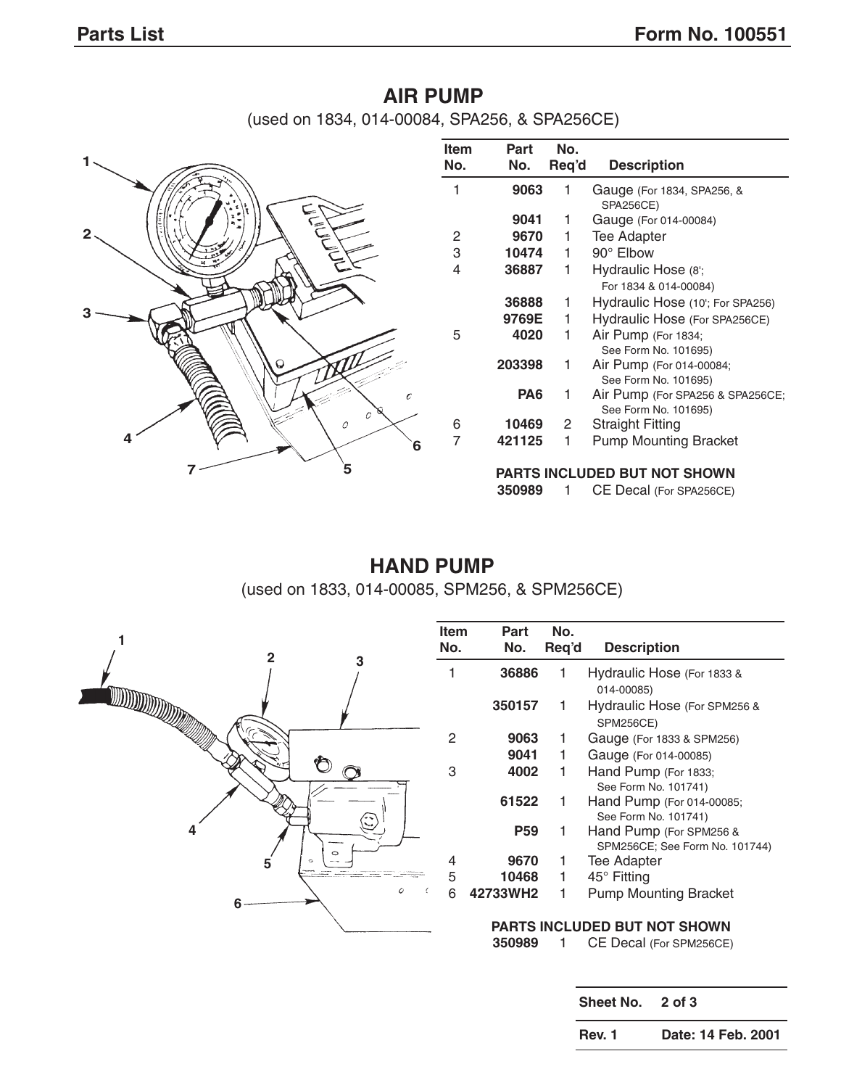## **AIR PUMP** (used on 1834, 014-00084, SPA256, & SPA256CE)



| ltem<br>No. | Part<br>No. | No.<br>Req'd | <b>Description</b>                                       |
|-------------|-------------|--------------|----------------------------------------------------------|
| 1           | 9063        | 1            | Gauge (For 1834, SPA256, &<br><b>SPA256CE)</b>           |
|             | 9041        | 1            | Gauge (For 014-00084)                                    |
| 2           | 9670        | 1            | Tee Adapter                                              |
| 3           | 10474       | 1            | 90° Elbow                                                |
| 4           | 36887       | 1            | Hydraulic Hose (8';                                      |
|             |             |              | For 1834 & 014-00084)                                    |
|             | 36888       | 1            | Hydraulic Hose (10'; For SPA256)                         |
|             | 9769E       | 1            | Hydraulic Hose (For SPA256CE)                            |
| 5           | 4020        | 1            | Air Pump (For 1834;<br>See Form No. 101695)              |
|             | 203398      | 1            | Air Pump (For 014-00084;<br>See Form No. 101695)         |
|             | PA6         | 1            | Air Pump (For SPA256 & SPA256CE;<br>See Form No. 101695) |
| 6           | 10469       | 2            | Straight Fitting                                         |
| 7           | 421125      | 1            | <b>Pump Mounting Bracket</b>                             |
|             |             |              | DARTS INCLUDED RUT NOT SHOWN                             |

#### **PARTS INCLUDED BUT NOT SHOWN**

**350989** 1 CE Decal (For SPA256CE)

# **HAND PUMP**

(used on 1833, 014-00085, SPM256, & SPM256CE)



| Item | Part       | No.   |                                                           |
|------|------------|-------|-----------------------------------------------------------|
| No.  | No.        | Req'd | <b>Description</b>                                        |
| 1    | 36886      | 1     | Hydraulic Hose (For 1833 &<br>014-00085)                  |
|      | 350157     | 1     | Hydraulic Hose (For SPM256 &<br><b>SPM256CE)</b>          |
| 2    | 9063       | 1     | Gauge (For 1833 & SPM256)                                 |
|      | 9041       | 1.    | Gauge (For 014-00085)                                     |
| 3    | 4002       | 1     | Hand Pump (For 1833;<br>See Form No. 101741)              |
|      | 61522      | 1     | Hand Pump (For 014-00085;<br>See Form No. 101741)         |
|      | <b>P59</b> | 1     | Hand Pump (For SPM256 &<br>SPM256CE; See Form No. 101744) |
| 4    | 9670       | 1     | <b>Tee Adapter</b>                                        |
| 5    | 10468      | 1     | 45° Fitting                                               |
| 6    | 42733WH2   | 1     | <b>Pump Mounting Bracket</b>                              |
|      |            |       | PARTS INCLUDED BUT NOT SHOWN                              |
|      | 350989     |       | CE Decal (For SPM256CE)                                   |

**Sheet No. 2 of 3**

**Rev. 1 Date: 14 Feb. 2001**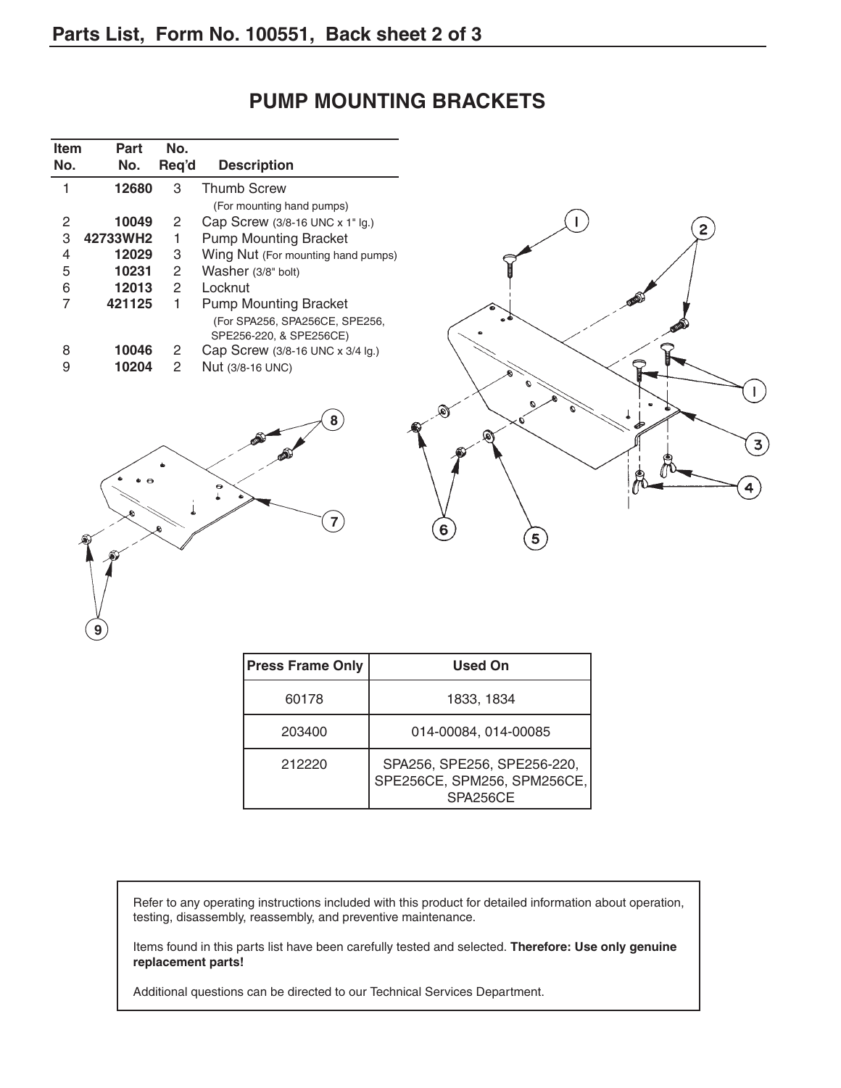**Item Part No.**

| No. | No.      | Req'd                | <b>Description</b>                                        |                |
|-----|----------|----------------------|-----------------------------------------------------------|----------------|
|     | 12680    | 3                    | <b>Thumb Screw</b>                                        |                |
|     |          |                      | (For mounting hand pumps)                                 |                |
| 2   | 10049    | $\mathbf{2}$         | Cap Screw (3/8-16 UNC x 1" Ig.)                           |                |
| 3   | 42733WH2 |                      | <b>Pump Mounting Bracket</b>                              | 2 <sub>1</sub> |
| 4   | 12029    | 3                    | Wing Nut (For mounting hand pumps)                        |                |
| 5   | 10231    | 2                    | Washer (3/8" bolt)                                        |                |
| 6   | 12013    | $\mathbf{2}^{\circ}$ | Locknut                                                   |                |
|     | 421125   |                      | <b>Pump Mounting Bracket</b>                              |                |
|     |          |                      | (For SPA256, SPA256CE, SPE256,<br>SPE256-220, & SPE256CE) |                |
| 8   | 10046    | $\mathbf{2}$         | Cap Screw (3/8-16 UNC x 3/4 lg.)                          |                |
| 9   | 10204    | 2                    | Nut (3/8-16 UNC)                                          |                |
|     |          |                      |                                                           |                |
|     |          |                      |                                                           |                |
|     |          |                      | 8                                                         |                |
|     |          |                      |                                                           |                |
|     |          |                      |                                                           | 3              |
|     |          |                      |                                                           |                |
|     |          |                      |                                                           |                |
|     |          |                      |                                                           |                |
|     |          |                      |                                                           |                |
|     |          |                      |                                                           | 6              |
|     | Æ        |                      |                                                           | $5^{\degree}$  |

## **PUMP MOUNTING BRACKETS**



| <b>Press Frame Only</b> | <b>Used On</b>                                                         |
|-------------------------|------------------------------------------------------------------------|
| 60178                   | 1833, 1834                                                             |
| 203400                  | 014-00084, 014-00085                                                   |
| 212220                  | SPA256, SPE256, SPE256-220,<br>SPE256CE, SPM256, SPM256CE,<br>SPA256CE |

Refer to any operating instructions included with this product for detailed information about operation, testing, disassembly, reassembly, and preventive maintenance.

Items found in this parts list have been carefully tested and selected. **Therefore: Use only genuine replacement parts!**

Additional questions can be directed to our Technical Services Department.